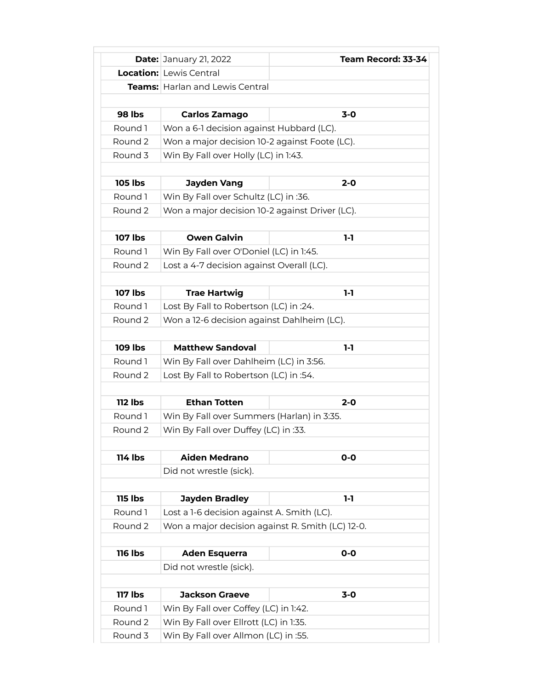|                | <b>Date: January 21, 2022</b>                    | Team Record: 33-34 |
|----------------|--------------------------------------------------|--------------------|
|                | <b>Location:</b> Lewis Central                   |                    |
|                | <b>Teams:</b> Harlan and Lewis Central           |                    |
|                |                                                  |                    |
| <b>98 lbs</b>  | Carlos Zamago                                    | $3-0$              |
| Round 1        | Won a 6-1 decision against Hubbard (LC).         |                    |
| Round 2        | Won a major decision 10-2 against Foote (LC).    |                    |
| Round 3        | Win By Fall over Holly (LC) in 1:43.             |                    |
|                |                                                  |                    |
| <b>105 lbs</b> | <b>Jayden Vang</b>                               | $2 - 0$            |
| Round 1        | Win By Fall over Schultz (LC) in :36.            |                    |
| Round 2        | Won a major decision 10-2 against Driver (LC).   |                    |
|                |                                                  |                    |
| <b>107 lbs</b> | <b>Owen Galvin</b>                               | $1-1$              |
| Round 1        | Win By Fall over O'Doniel (LC) in 1:45.          |                    |
| Round 2        | Lost a 4-7 decision against Overall (LC).        |                    |
|                |                                                  |                    |
| <b>107 lbs</b> | <b>Trae Hartwig</b>                              | $1-1$              |
| Round 1        | Lost By Fall to Robertson (LC) in :24.           |                    |
| Round 2        | Won a 12-6 decision against Dahlheim (LC).       |                    |
|                |                                                  |                    |
| <b>109 lbs</b> | <b>Matthew Sandoval</b>                          | $1-1$              |
| Round 1        | Win By Fall over Dahlheim (LC) in 3:56.          |                    |
| Round 2        | Lost By Fall to Robertson (LC) in :54.           |                    |
|                |                                                  |                    |
| <b>112 lbs</b> | <b>Ethan Totten</b>                              | $2 - 0$            |
| Round 1        | Win By Fall over Summers (Harlan) in 3:35.       |                    |
| Round 2        | Win By Fall over Duffey (LC) in :33.             |                    |
|                |                                                  |                    |
| <b>114 lbs</b> | <b>Aiden Medrano</b>                             | $O-O$              |
|                | Did not wrestle (sick).                          |                    |
|                |                                                  |                    |
| <b>115 lbs</b> | <b>Jayden Bradley</b>                            | $1-1$              |
| Round 1        | Lost a 1-6 decision against A. Smith (LC).       |                    |
| Round 2        | Won a major decision against R. Smith (LC) 12-0. |                    |
|                |                                                  |                    |
| <b>116 lbs</b> | <b>Aden Esquerra</b>                             | $O-O$              |
|                | Did not wrestle (sick).                          |                    |
|                |                                                  |                    |
| <b>117 lbs</b> | <b>Jackson Graeve</b>                            | $3 - 0$            |
| Round 1        | Win By Fall over Coffey (LC) in 1:42.            |                    |
| Round 2        | Win By Fall over Ellrott (LC) in 1:35.           |                    |
| Round 3        | Win By Fall over Allmon (LC) in :55.             |                    |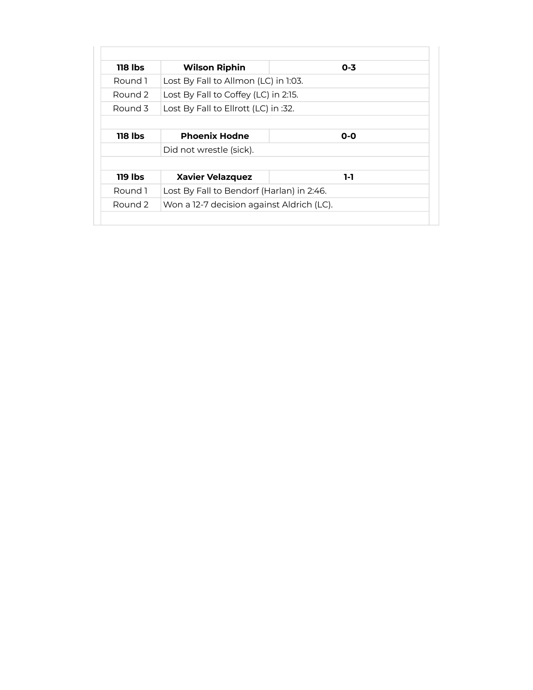| 118 lbs | <b>Wilson Riphin</b>                      | $0 - 3$ |
|---------|-------------------------------------------|---------|
| Round 1 | Lost By Fall to Allmon (LC) in 1:03.      |         |
| Round 2 | Lost By Fall to Coffey (LC) in 2:15.      |         |
| Round 3 | Lost By Fall to Ellrott (LC) in :32.      |         |
|         |                                           |         |
| 118 lbs | <b>Phoenix Hodne</b>                      | $0 - 0$ |
|         | Did not wrestle (sick).                   |         |
|         |                                           |         |
| 119 lbs | <b>Xavier Velazquez</b>                   | 1-1     |
| Round 1 | Lost By Fall to Bendorf (Harlan) in 2:46. |         |
| Round 2 | Won a 12-7 decision against Aldrich (LC). |         |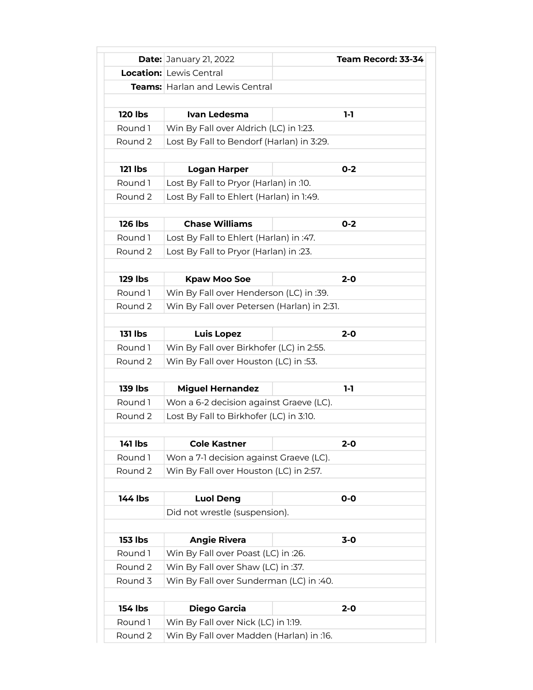|                    | <b>Date: January 21, 2022</b>                                                     | Team Record: 33-34 |
|--------------------|-----------------------------------------------------------------------------------|--------------------|
|                    | <b>Location:</b> Lewis Central                                                    |                    |
|                    | <b>Teams:</b> Harlan and Lewis Central                                            |                    |
|                    |                                                                                   |                    |
| <b>120 lbs</b>     | Ivan Ledesma                                                                      | 1-1                |
| Round 1            | Win By Fall over Aldrich (LC) in 1:23.                                            |                    |
| Round 2            | Lost By Fall to Bendorf (Harlan) in 3:29.                                         |                    |
|                    |                                                                                   |                    |
| <b>121 lbs</b>     | <b>Logan Harper</b>                                                               | $0 - 2$            |
| Round 1            | Lost By Fall to Pryor (Harlan) in :10.                                            |                    |
| Round <sub>2</sub> | Lost By Fall to Ehlert (Harlan) in 1:49.                                          |                    |
|                    |                                                                                   |                    |
| <b>126 lbs</b>     | <b>Chase Williams</b>                                                             | $0 - 2$            |
| Round 1            | Lost By Fall to Ehlert (Harlan) in :47.                                           |                    |
| Round 2            | Lost By Fall to Pryor (Harlan) in :23.                                            |                    |
|                    |                                                                                   |                    |
| <b>129 lbs</b>     | <b>Kpaw Moo Soe</b>                                                               | $2 - 0$            |
| Round 1            | Win By Fall over Henderson (LC) in :39.                                           |                    |
| Round 2            | Win By Fall over Petersen (Harlan) in 2:31.                                       |                    |
|                    |                                                                                   |                    |
| <b>131 lbs</b>     | <b>Luis Lopez</b>                                                                 | $2 - 0$            |
| Round 1            | Win By Fall over Birkhofer (LC) in 2:55.                                          |                    |
| Round 2            | Win By Fall over Houston (LC) in :53.                                             |                    |
|                    |                                                                                   |                    |
| <b>139 lbs</b>     | <b>Miguel Hernandez</b>                                                           | $1-1$              |
| Round 1            | Won a 6-2 decision against Graeve (LC).                                           |                    |
| Round 2            | Lost By Fall to Birkhofer (LC) in 3:10.                                           |                    |
|                    |                                                                                   |                    |
| 141 lbs<br>Round 1 | <b>Cole Kastner</b>                                                               | 2-0                |
| Round 2            | Won a 7-1 decision against Graeve (LC).<br>Win By Fall over Houston (LC) in 2:57. |                    |
|                    |                                                                                   |                    |
| <b>144 lbs</b>     | <b>Luol Deng</b>                                                                  | $O-O$              |
|                    | Did not wrestle (suspension).                                                     |                    |
|                    |                                                                                   |                    |
| <b>153 lbs</b>     | <b>Angie Rivera</b>                                                               | $3-0$              |
| Round 1            | Win By Fall over Poast (LC) in :26.                                               |                    |
| Round 2            | Win By Fall over Shaw (LC) in :37.                                                |                    |
| Round 3            | Win By Fall over Sunderman (LC) in :40.                                           |                    |
|                    |                                                                                   |                    |
| <b>154 lbs</b>     | <b>Diego Garcia</b>                                                               | $2 - 0$            |
| Round 1            | Win By Fall over Nick (LC) in 1:19.                                               |                    |
| Round 2            | Win By Fall over Madden (Harlan) in :16.                                          |                    |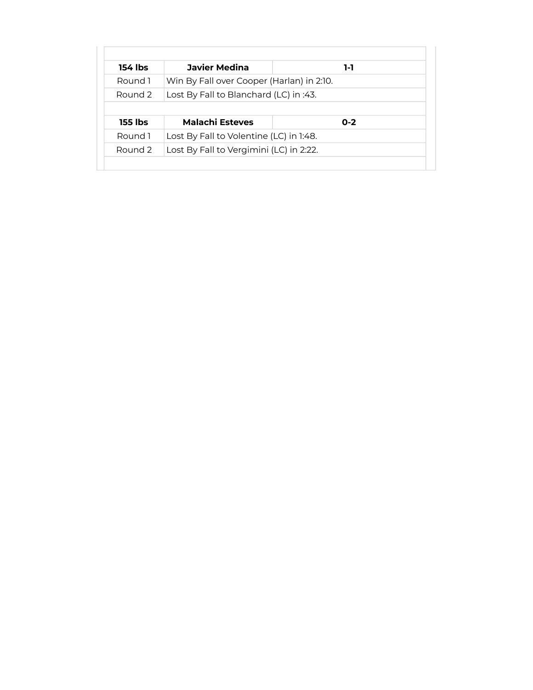| 154 lbs        | <b>Javier Medina</b>                      | 1-1     |
|----------------|-------------------------------------------|---------|
| Round 1        | Win By Fall over Cooper (Harlan) in 2:10. |         |
| Round 2        | Lost By Fall to Blanchard (LC) in :43.    |         |
|                |                                           |         |
|                |                                           |         |
| <b>155 lbs</b> | <b>Malachi Esteves</b>                    | $0 - 2$ |
| Round 1        | Lost By Fall to Volentine (LC) in 1:48.   |         |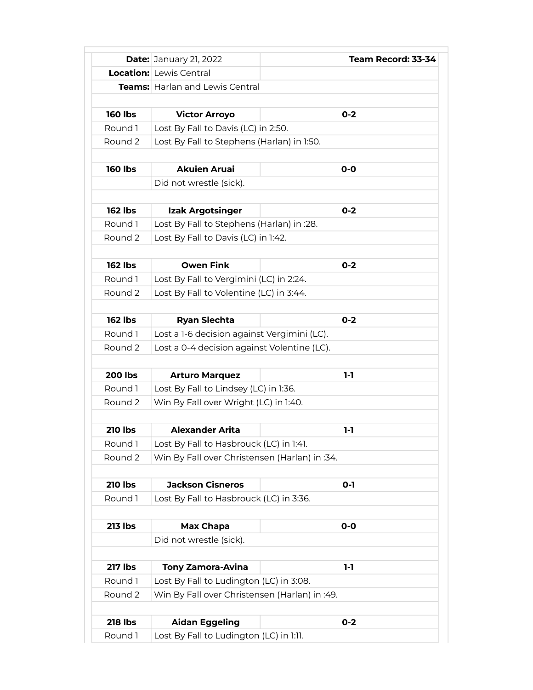|                    | <b>Date: January 21, 2022</b>                 | Team Record: 33-34 |
|--------------------|-----------------------------------------------|--------------------|
|                    | <b>Location:</b> Lewis Central                |                    |
|                    | <b>Teams:</b> Harlan and Lewis Central        |                    |
|                    |                                               |                    |
| <b>160 lbs</b>     | <b>Victor Arroyo</b>                          | $0 - 2$            |
| Round 1            | Lost By Fall to Davis (LC) in 2:50.           |                    |
| Round 2            | Lost By Fall to Stephens (Harlan) in 1:50.    |                    |
|                    |                                               |                    |
| <b>160 lbs</b>     | <b>Akuien Aruai</b>                           | $O-O$              |
|                    | Did not wrestle (sick).                       |                    |
|                    |                                               |                    |
| <b>162 lbs</b>     | <b>Izak Argotsinger</b>                       | $O - 2$            |
| Round 1            | Lost By Fall to Stephens (Harlan) in :28.     |                    |
| Round <sub>2</sub> | Lost By Fall to Davis (LC) in 1:42.           |                    |
|                    |                                               |                    |
| <b>162 lbs</b>     | <b>Owen Fink</b>                              | $0 - 2$            |
| Round 1            | Lost By Fall to Vergimini (LC) in 2:24.       |                    |
| Round 2            | Lost By Fall to Volentine (LC) in 3:44.       |                    |
|                    |                                               |                    |
| <b>162 lbs</b>     | <b>Ryan Slechta</b>                           | $0 - 2$            |
| Round 1            | Lost a 1-6 decision against Vergimini (LC).   |                    |
| Round 2            | Lost a 0-4 decision against Volentine (LC).   |                    |
|                    |                                               |                    |
| <b>200 lbs</b>     | <b>Arturo Marquez</b>                         | $1-1$              |
| Round 1            | Lost By Fall to Lindsey (LC) in 1:36.         |                    |
| Round 2            | Win By Fall over Wright (LC) in 1:40.         |                    |
|                    |                                               |                    |
| <b>210 lbs</b>     | <b>Alexander Arita</b>                        | $1-1$              |
| Round 1            | Lost By Fall to Hasbrouck (LC) in 1:41.       |                    |
| Round 2            | Win By Fall over Christensen (Harlan) in :34. |                    |
|                    |                                               |                    |
| <b>210 lbs</b>     | <b>Jackson Cisneros</b>                       | $0 - 1$            |
| Round 1            | Lost By Fall to Hasbrouck (LC) in 3:36.       |                    |
|                    |                                               |                    |
| <b>213 lbs</b>     | Max Chapa                                     | $0-0$              |
|                    | Did not wrestle (sick).                       |                    |
|                    |                                               |                    |
| <b>217 lbs</b>     | <b>Tony Zamora-Avina</b>                      | $1-1$              |
| Round 1            | Lost By Fall to Ludington (LC) in 3:08.       |                    |
| Round 2            | Win By Fall over Christensen (Harlan) in :49. |                    |
|                    |                                               |                    |
| <b>218 lbs</b>     | <b>Aidan Eggeling</b>                         | $0 - 2$            |
| Round 1            | Lost By Fall to Ludington (LC) in 1:11.       |                    |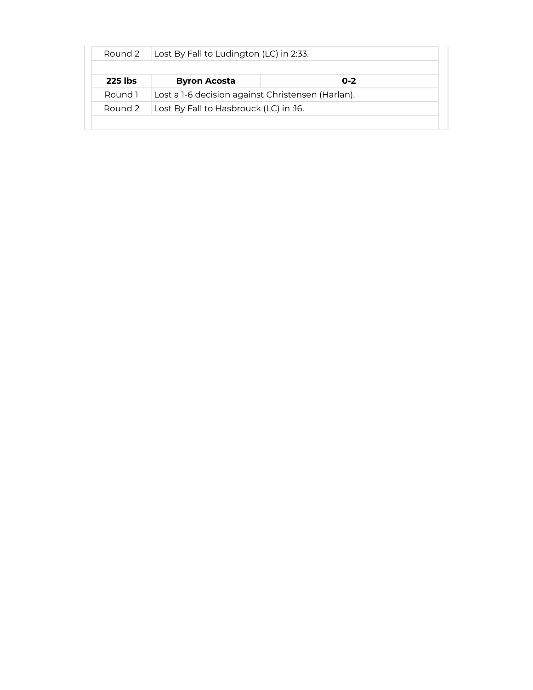| Lost By Fall to Ludington (LC) in 2:33.<br>Round 2 |                                                   |         |  |
|----------------------------------------------------|---------------------------------------------------|---------|--|
| <b>225 lbs</b>                                     | <b>Byron Acosta</b>                               | $0 - 2$ |  |
| Round 1                                            | Lost a 1-6 decision against Christensen (Harlan). |         |  |
| Lost By Fall to Hasbrouck (LC) in :16.<br>Round 2  |                                                   |         |  |
|                                                    |                                                   |         |  |